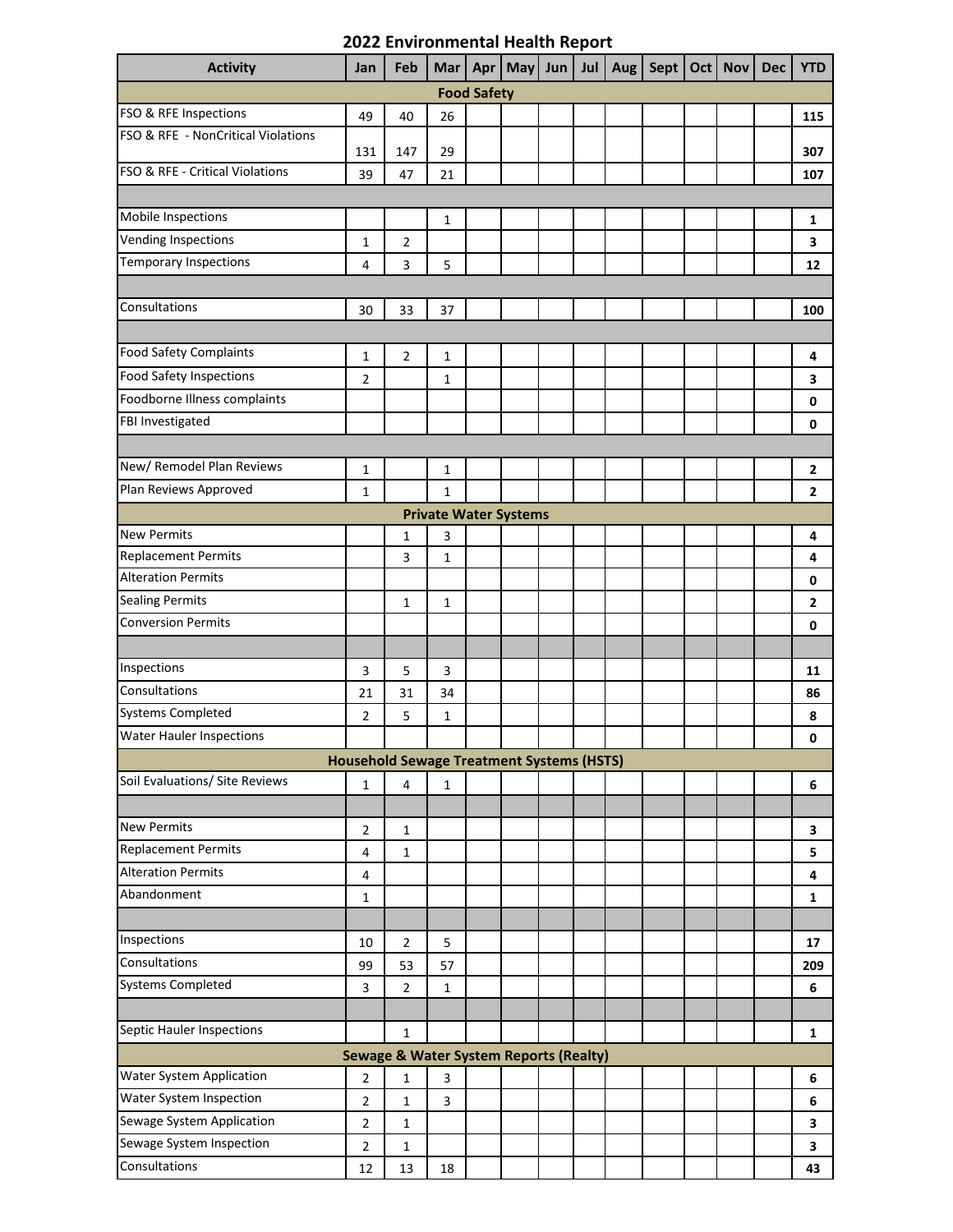## **2022 Environmental Health Report**

| <b>Activity</b>                                   | Jan            | Feb                                              | Mar          | Apr |  | May $ $ Jun | Jul | <b>Aug</b> |  |  | Sept   Oct   Nov | <b>Dec</b> | <b>YTD</b>     |
|---------------------------------------------------|----------------|--------------------------------------------------|--------------|-----|--|-------------|-----|------------|--|--|------------------|------------|----------------|
| <b>Food Safety</b>                                |                |                                                  |              |     |  |             |     |            |  |  |                  |            |                |
| FSO & RFE Inspections                             | 49             | 40                                               | 26           |     |  |             |     |            |  |  |                  |            | 115            |
| FSO & RFE - NonCritical Violations                | 131            | 147                                              | 29           |     |  |             |     |            |  |  |                  |            | 307            |
| FSO & RFE - Critical Violations                   | 39             | 47                                               | 21           |     |  |             |     |            |  |  |                  |            | 107            |
|                                                   |                |                                                  |              |     |  |             |     |            |  |  |                  |            |                |
| Mobile Inspections                                |                |                                                  | 1            |     |  |             |     |            |  |  |                  |            | 1              |
| Vending Inspections                               | 1              | $\overline{2}$                                   |              |     |  |             |     |            |  |  |                  |            | 3              |
| <b>Temporary Inspections</b>                      | 4              | 3                                                | 5            |     |  |             |     |            |  |  |                  |            | 12             |
|                                                   |                |                                                  |              |     |  |             |     |            |  |  |                  |            |                |
| Consultations                                     | 30             | 33                                               | 37           |     |  |             |     |            |  |  |                  |            | 100            |
|                                                   |                |                                                  |              |     |  |             |     |            |  |  |                  |            |                |
| <b>Food Safety Complaints</b>                     | 1              | $\overline{2}$                                   | 1            |     |  |             |     |            |  |  |                  |            | 4              |
| <b>Food Safety Inspections</b>                    | $\overline{2}$ |                                                  | $\mathbf 1$  |     |  |             |     |            |  |  |                  |            | 3              |
| Foodborne Illness complaints                      |                |                                                  |              |     |  |             |     |            |  |  |                  |            | 0              |
| FBI Investigated                                  |                |                                                  |              |     |  |             |     |            |  |  |                  |            | $\mathbf 0$    |
|                                                   |                |                                                  |              |     |  |             |     |            |  |  |                  |            |                |
| New/ Remodel Plan Reviews                         | 1              |                                                  | $\mathbf 1$  |     |  |             |     |            |  |  |                  |            | 2              |
| Plan Reviews Approved                             | 1              |                                                  | $\mathbf{1}$ |     |  |             |     |            |  |  |                  |            | $\overline{2}$ |
| <b>Private Water Systems</b>                      |                |                                                  |              |     |  |             |     |            |  |  |                  |            |                |
| <b>New Permits</b>                                |                | 1                                                | 3            |     |  |             |     |            |  |  |                  |            | 4              |
| <b>Replacement Permits</b>                        |                | 3                                                | $\mathbf{1}$ |     |  |             |     |            |  |  |                  |            | 4              |
| <b>Alteration Permits</b>                         |                |                                                  |              |     |  |             |     |            |  |  |                  |            | 0              |
| <b>Sealing Permits</b>                            |                | $\mathbf{1}$                                     | 1            |     |  |             |     |            |  |  |                  |            | 2              |
| <b>Conversion Permits</b>                         |                |                                                  |              |     |  |             |     |            |  |  |                  |            | 0              |
|                                                   |                |                                                  |              |     |  |             |     |            |  |  |                  |            |                |
| Inspections                                       | 3              | 5                                                | 3            |     |  |             |     |            |  |  |                  |            | 11             |
| Consultations                                     | 21             | 31                                               | 34           |     |  |             |     |            |  |  |                  |            | 86             |
| <b>Systems Completed</b>                          | $\overline{2}$ | 5                                                | $\mathbf 1$  |     |  |             |     |            |  |  |                  |            | 8              |
| <b>Water Hauler Inspections</b>                   |                |                                                  |              |     |  |             |     |            |  |  |                  |            | 0              |
|                                                   |                | <b>Household Sewage Treatment Systems (HSTS)</b> |              |     |  |             |     |            |  |  |                  |            |                |
| Soil Evaluations/ Site Reviews                    | $\mathbf{1}$   | $\overline{4}$                                   | $\mathbf{1}$ |     |  |             |     |            |  |  |                  |            | 6              |
|                                                   |                |                                                  |              |     |  |             |     |            |  |  |                  |            |                |
| <b>New Permits</b>                                | $\overline{2}$ | $\mathbf{1}$                                     |              |     |  |             |     |            |  |  |                  |            | 3              |
| <b>Replacement Permits</b>                        | 4              | $\mathbf{1}$                                     |              |     |  |             |     |            |  |  |                  |            | 5              |
| <b>Alteration Permits</b>                         | 4              |                                                  |              |     |  |             |     |            |  |  |                  |            | 4              |
| Abandonment                                       | 1              |                                                  |              |     |  |             |     |            |  |  |                  |            | 1              |
|                                                   |                |                                                  |              |     |  |             |     |            |  |  |                  |            |                |
| Inspections                                       | 10             | $\overline{2}$                                   | 5            |     |  |             |     |            |  |  |                  |            | 17             |
| Consultations                                     | 99             | 53                                               | 57           |     |  |             |     |            |  |  |                  |            | 209            |
| <b>Systems Completed</b>                          | 3              | $\overline{2}$                                   | $\mathbf{1}$ |     |  |             |     |            |  |  |                  |            | 6              |
|                                                   |                |                                                  |              |     |  |             |     |            |  |  |                  |            |                |
| Septic Hauler Inspections                         |                | $\mathbf{1}$                                     |              |     |  |             |     |            |  |  |                  |            | $\mathbf{1}$   |
| <b>Sewage &amp; Water System Reports (Realty)</b> |                |                                                  |              |     |  |             |     |            |  |  |                  |            |                |
| Water System Application                          | $\overline{2}$ | $\mathbf 1$                                      | 3            |     |  |             |     |            |  |  |                  |            | 6              |
| Water System Inspection                           | $\overline{2}$ | $\mathbf 1$                                      | 3            |     |  |             |     |            |  |  |                  |            | 6              |
| Sewage System Application                         | $\overline{2}$ | $\mathbf{1}$                                     |              |     |  |             |     |            |  |  |                  |            | 3              |
| Sewage System Inspection                          | $\overline{2}$ | $\mathbf 1$                                      |              |     |  |             |     |            |  |  |                  |            | 3              |
| Consultations                                     | 12             | 13                                               | 18           |     |  |             |     |            |  |  |                  |            | 43             |